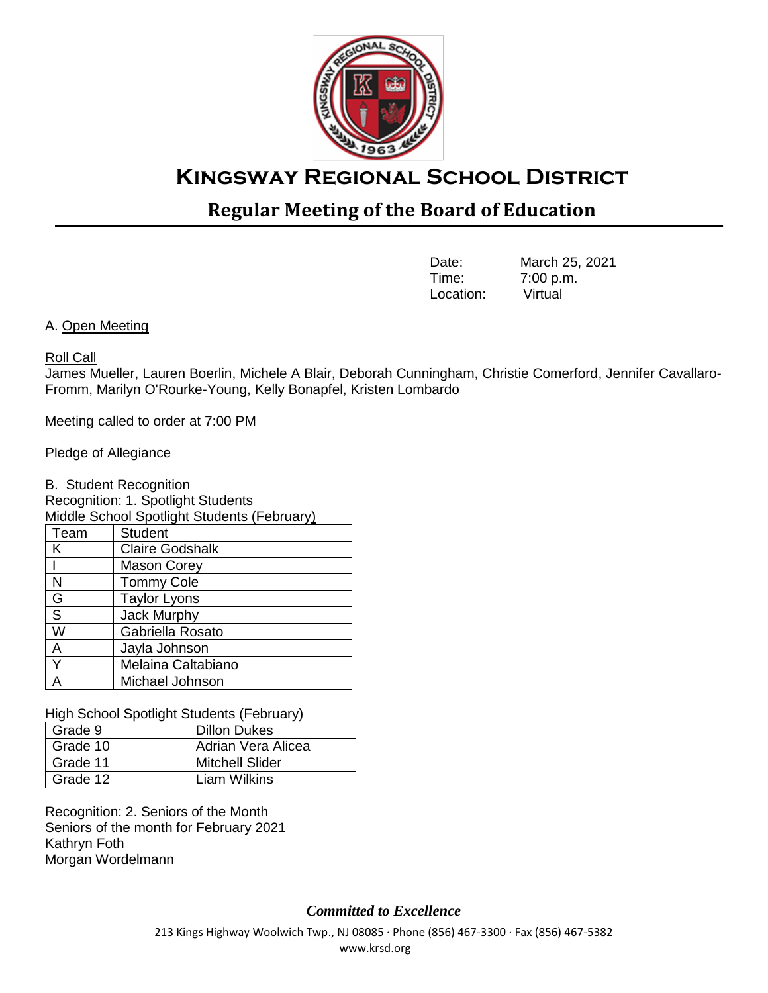

# **Kingsway Regional School District**

## **Regular Meeting of the Board of Education**

| Date:     | March 25, 2021 |
|-----------|----------------|
| Time:     | 7:00 p.m.      |
| Location: | Virtual        |

A. Open Meeting

## Roll Call

James Mueller, Lauren Boerlin, Michele A Blair, Deborah Cunningham, Christie Comerford, Jennifer Cavallaro-Fromm, Marilyn O'Rourke-Young, Kelly Bonapfel, Kristen Lombardo

Meeting called to order at 7:00 PM

Pledge of Allegiance

B. Student Recognition

Recognition: 1. Spotlight Students

Middle School Spotlight Students (February)  $\overline{\mathsf{Student}}$ 

|   | <b>Claire Godshalk</b> |
|---|------------------------|
|   | <b>Mason Corey</b>     |
| N | <b>Tommy Cole</b>      |
| G | <b>Taylor Lyons</b>    |
| S | <b>Jack Murphy</b>     |
| W | Gabriella Rosato       |
| A | Jayla Johnson          |
|   | Melaina Caltabiano     |
|   | Michael Johnson        |
|   |                        |

High School Spotlight Students (February)

| Grade 9  | <b>Dillon Dukes</b> |
|----------|---------------------|
| Grade 10 | Adrian Vera Alicea  |
| Grade 11 | Mitchell Slider     |
| Grade 12 | <b>Liam Wilkins</b> |

Recognition: 2. Seniors of the Month Seniors of the month for February 2021 Kathryn Foth Morgan Wordelmann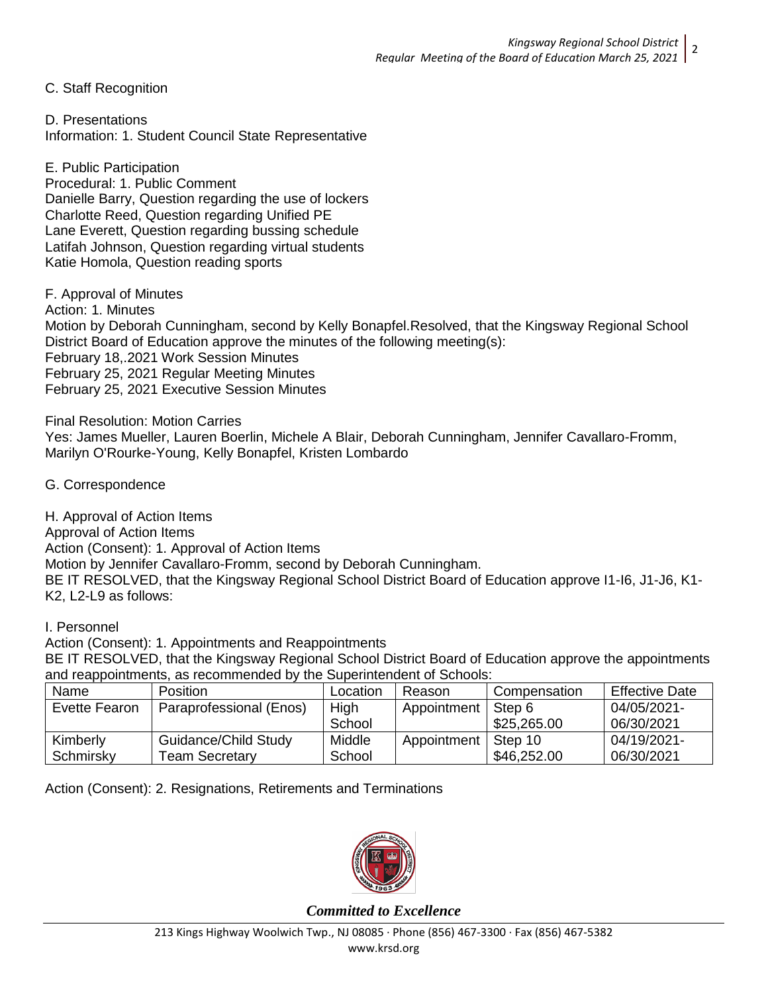C. Staff Recognition

D. Presentations Information: 1. Student Council State Representative

E. Public Participation Procedural: 1. Public Comment Danielle Barry, Question regarding the use of lockers Charlotte Reed, Question regarding Unified PE Lane Everett, Question regarding bussing schedule Latifah Johnson, Question regarding virtual students Katie Homola, Question reading sports

F. Approval of Minutes Action: 1. Minutes Motion by Deborah Cunningham, second by Kelly Bonapfel.Resolved, that the Kingsway Regional School District Board of Education approve the minutes of the following meeting(s): February 18,.2021 Work Session Minutes February 25, 2021 Regular Meeting Minutes February 25, 2021 Executive Session Minutes

Final Resolution: Motion Carries Yes: James Mueller, Lauren Boerlin, Michele A Blair, Deborah Cunningham, Jennifer Cavallaro-Fromm, Marilyn O'Rourke-Young, Kelly Bonapfel, Kristen Lombardo

G. Correspondence

H. Approval of Action Items Approval of Action Items Action (Consent): 1. Approval of Action Items Motion by Jennifer Cavallaro-Fromm, second by Deborah Cunningham. BE IT RESOLVED, that the Kingsway Regional School District Board of Education approve I1-I6, J1-J6, K1- K2, L2-L9 as follows:

I. Personnel

Action (Consent): 1. Appointments and Reappointments BE IT RESOLVED, that the Kingsway Regional School District Board of Education approve the appointments and reappointments, as recommended by the Superintendent of Schools:

| Name          | <b>Position</b>         | ∟ocation | Reason      | Compensation | <b>Effective Date</b> |
|---------------|-------------------------|----------|-------------|--------------|-----------------------|
| Evette Fearon | Paraprofessional (Enos) | High     | Appointment | Step 6       | 04/05/2021-           |
|               |                         | School   |             | \$25,265.00  | 06/30/2021            |
| Kimberly      | Guidance/Child Study    | Middle   | Appointment | Step 10      | 04/19/2021-           |
| Schmirsky     | Team Secretary          | School   |             | \$46,252.00  | 06/30/2021            |

Action (Consent): 2. Resignations, Retirements and Terminations

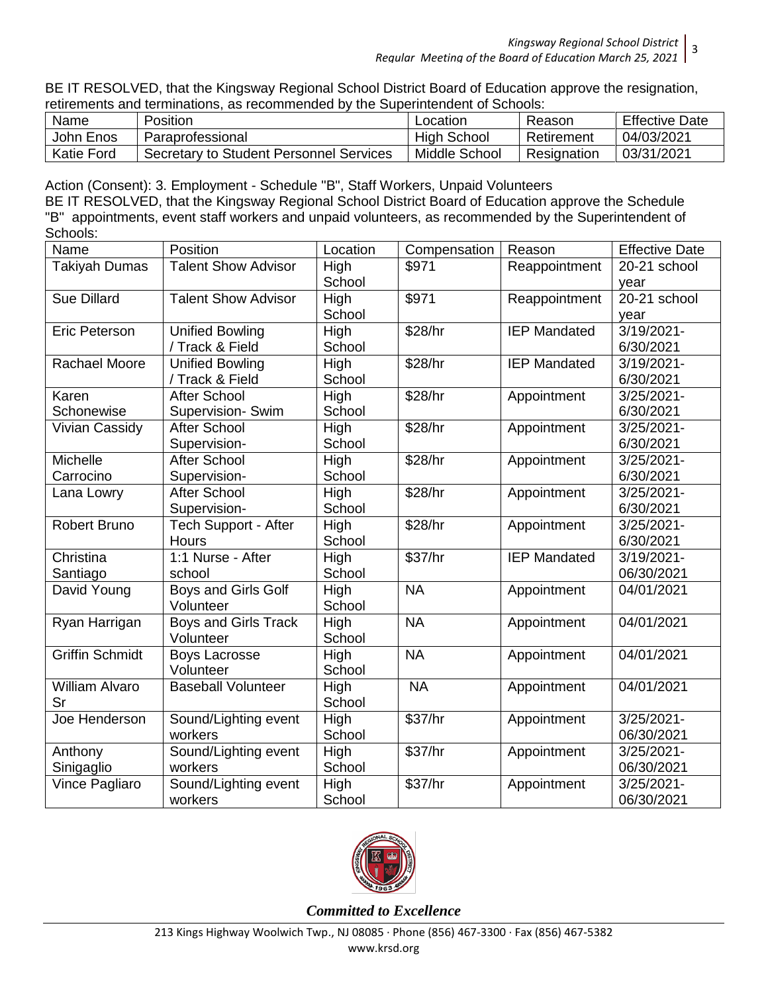BE IT RESOLVED, that the Kingsway Regional School District Board of Education approve the resignation, retirements and terminations, as recommended by the Superintendent of Schools:

| Name              | Position                                | Location           | Reason      | <b>Effective Date</b> |
|-------------------|-----------------------------------------|--------------------|-------------|-----------------------|
| John Enos         | Paraprofessional                        | <b>High School</b> | Retirement  | 04/03/2021            |
| <b>Katie Ford</b> | Secretary to Student Personnel Services | Middle School      | Resignation | 03/31/2021            |

Action (Consent): 3. Employment - Schedule "B", Staff Workers, Unpaid Volunteers BE IT RESOLVED, that the Kingsway Regional School District Board of Education approve the Schedule "B" appointments, event staff workers and unpaid volunteers, as recommended by the Superintendent of Schools:

| Name                   | Position                          | Location       | Compensation         | Reason              | <b>Effective Date</b> |
|------------------------|-----------------------------------|----------------|----------------------|---------------------|-----------------------|
| <b>Takiyah Dumas</b>   | <b>Talent Show Advisor</b>        | High<br>School | \$971                | Reappointment       | 20-21 school<br>year  |
| <b>Sue Dillard</b>     | <b>Talent Show Advisor</b>        | High           | \$971                | Reappointment       | 20-21 school          |
|                        |                                   | School         |                      |                     | year                  |
| Eric Peterson          | <b>Unified Bowling</b>            | High           | \$28/hr              | <b>IEP Mandated</b> | $3/19/2021 -$         |
|                        | / Track & Field                   | School         |                      |                     | 6/30/2021             |
| <b>Rachael Moore</b>   | <b>Unified Bowling</b>            | High           | \$28/hr              | <b>IEP Mandated</b> | 3/19/2021-            |
|                        | / Track & Field                   | School         |                      |                     | 6/30/2021             |
| Karen                  | <b>After School</b>               | High           | \$28/hr              | Appointment         | 3/25/2021-            |
| Schonewise             | Supervision- Swim                 | School         |                      |                     | 6/30/2021             |
| <b>Vivian Cassidy</b>  | <b>After School</b>               | High           | \$28/hr              | Appointment         | 3/25/2021-            |
|                        | Supervision-                      | School         |                      |                     | 6/30/2021             |
| Michelle               | After School                      | High           | \$28/hr              | Appointment         | 3/25/2021-            |
| Carrocino              | Supervision-                      | School         |                      |                     | 6/30/2021             |
| Lana Lowry             | <b>After School</b>               | High           | \$28/hr              | Appointment         | 3/25/2021-            |
|                        | Supervision-                      | School         |                      |                     | 6/30/2021             |
| Robert Bruno           | <b>Tech Support - After</b>       | High           | \$28/hr              | Appointment         | 3/25/2021-            |
|                        | Hours                             | School         |                      |                     | 6/30/2021             |
| Christina              | 1:1 Nurse - After                 | High           | $\overline{$}37$ /hr | <b>IEP Mandated</b> | 3/19/2021-            |
| Santiago               | school                            | School         |                      |                     | 06/30/2021            |
| David Young            | Boys and Girls Golf<br>Volunteer  | High<br>School | <b>NA</b>            | Appointment         | 04/01/2021            |
| Ryan Harrigan          | Boys and Girls Track<br>Volunteer | High<br>School | <b>NA</b>            | Appointment         | 04/01/2021            |
| <b>Griffin Schmidt</b> | <b>Boys Lacrosse</b>              | High           | <b>NA</b>            | Appointment         | 04/01/2021            |
|                        | Volunteer                         | School         |                      |                     |                       |
| <b>William Alvaro</b>  | <b>Baseball Volunteer</b>         | High           | <b>NA</b>            | Appointment         | 04/01/2021            |
| Sr                     |                                   | School         |                      |                     |                       |
| Joe Henderson          | Sound/Lighting event              | High           | \$37/hr              | Appointment         | 3/25/2021-            |
|                        | workers                           | School         |                      |                     | 06/30/2021            |
| Anthony                | Sound/Lighting event              | High           | \$37/hr              | Appointment         | 3/25/2021-            |
| Sinigaglio             | workers                           | School         |                      |                     | 06/30/2021            |
| Vince Pagliaro         | Sound/Lighting event              | High           | \$37/hr              | Appointment         | 3/25/2021-            |
|                        | workers                           | School         |                      |                     | 06/30/2021            |

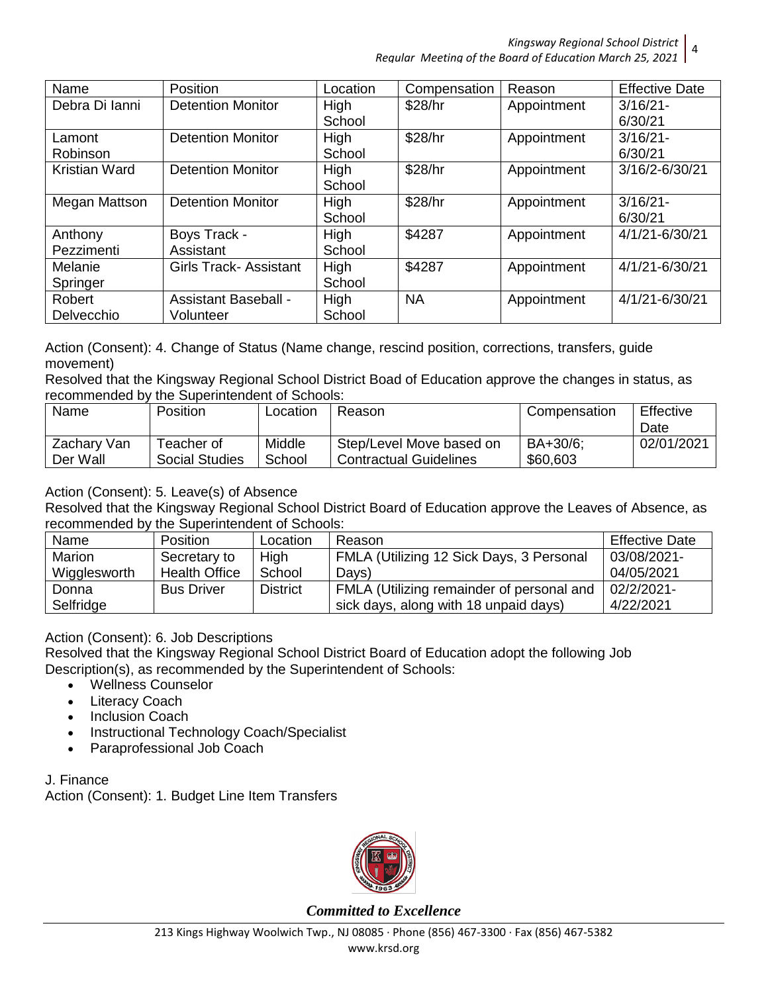*Kingsway Regional School District* 4 *Regular Meeting of the Board of Education March 25, 2021*

| Name           | <b>Position</b>              | Location | Compensation | Reason      | <b>Effective Date</b> |
|----------------|------------------------------|----------|--------------|-------------|-----------------------|
| Debra Di Ianni | <b>Detention Monitor</b>     | High     | \$28/hr      | Appointment | $3/16/21$ -           |
|                |                              | School   |              |             | 6/30/21               |
| Lamont         | <b>Detention Monitor</b>     | High     | \$28/hr      | Appointment | $3/16/21$ -           |
| Robinson       |                              | School   |              |             | 6/30/21               |
| Kristian Ward  | <b>Detention Monitor</b>     | High     | \$28/hr      | Appointment | 3/16/2-6/30/21        |
|                |                              | School   |              |             |                       |
| Megan Mattson  | <b>Detention Monitor</b>     | High     | \$28/hr      | Appointment | $3/16/21$ -           |
|                |                              | School   |              |             | 6/30/21               |
| Anthony        | Boys Track -                 | High     | \$4287       | Appointment | 4/1/21-6/30/21        |
| Pezzimenti     | Assistant                    | School   |              |             |                       |
| Melanie        | <b>Girls Track-Assistant</b> | High     | \$4287       | Appointment | 4/1/21-6/30/21        |
| Springer       |                              | School   |              |             |                       |
| Robert         | <b>Assistant Baseball -</b>  | High     | <b>NA</b>    | Appointment | 4/1/21-6/30/21        |
| Delvecchio     | Volunteer                    | School   |              |             |                       |

Action (Consent): 4. Change of Status (Name change, rescind position, corrections, transfers, guide movement)

Resolved that the Kingsway Regional School District Boad of Education approve the changes in status, as recommended by the Superintendent of Schools:

| Name                    | Position   |                       | Location         | Reason                                                    | Compensation         | Effective<br>Date |
|-------------------------|------------|-----------------------|------------------|-----------------------------------------------------------|----------------------|-------------------|
| Zachary Van<br>Der Wall | Teacher of | <b>Social Studies</b> | Middle<br>School | Step/Level Move based on<br><b>Contractual Guidelines</b> | BA+30/6:<br>\$60,603 | 02/01/2021        |

Action (Consent): 5. Leave(s) of Absence

Resolved that the Kingsway Regional School District Board of Education approve the Leaves of Absence, as recommended by the Superintendent of Schools:

| Name         | <b>Position</b>      | Location        | Reason                                    | <b>Effective Date</b> |
|--------------|----------------------|-----------------|-------------------------------------------|-----------------------|
| Marion       | Secretary to         | High            | FMLA (Utilizing 12 Sick Days, 3 Personal  | 03/08/2021-           |
| Wigglesworth | <b>Health Office</b> | School          | Days)                                     | 04/05/2021            |
| Donna        | <b>Bus Driver</b>    | <b>District</b> | FMLA (Utilizing remainder of personal and | 02/2/2021-            |
| Selfridge    |                      |                 | sick days, along with 18 unpaid days)     | 4/22/2021             |

Action (Consent): 6. Job Descriptions

Resolved that the Kingsway Regional School District Board of Education adopt the following Job Description(s), as recommended by the Superintendent of Schools:

- Wellness Counselor
- Literacy Coach
- Inclusion Coach
- Instructional Technology Coach/Specialist
- Paraprofessional Job Coach

J. Finance Action (Consent): 1. Budget Line Item Transfers

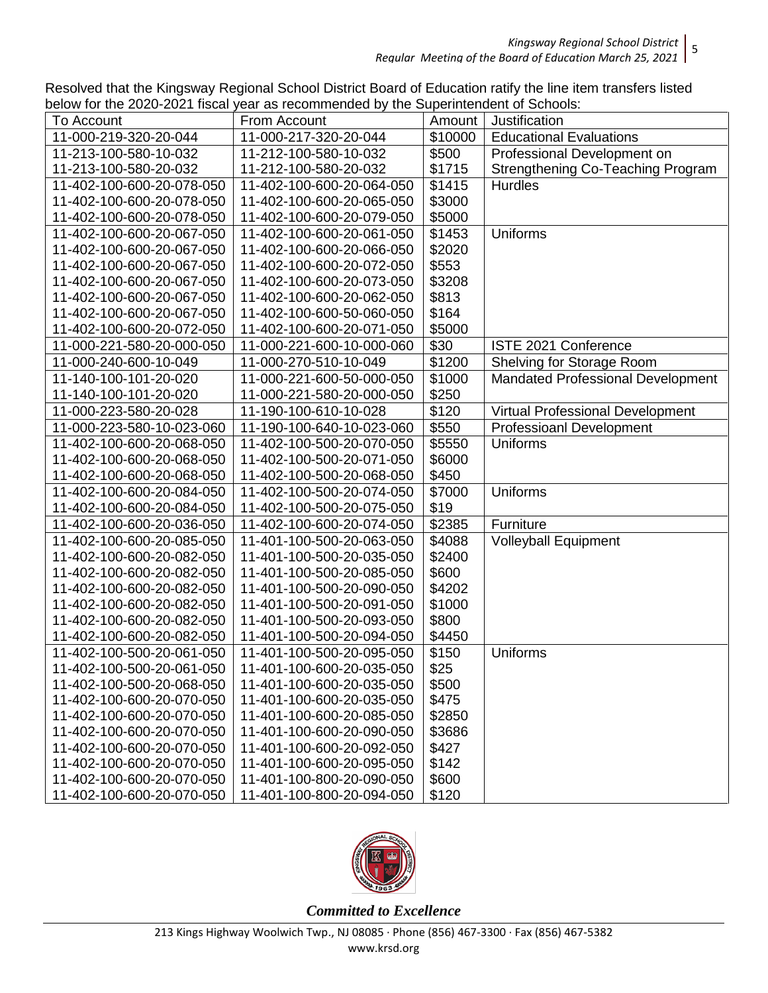*Kingsway Regional School District* 5 *Regular Meeting of the Board of Education March 25, 2021*

Resolved that the Kingsway Regional School District Board of Education ratify the line item transfers listed below for the 2020-2021 fiscal year as recommended by the Superintendent of Schools:

| $\frac{1}{2}$ is the EULU LUL induction | car as resommionaba by the eaponinonability. Sonoolo. |         |                                          |
|-----------------------------------------|-------------------------------------------------------|---------|------------------------------------------|
| To Account                              | From Account                                          | Amount  | Justification                            |
| 11-000-219-320-20-044                   | 11-000-217-320-20-044                                 | \$10000 | <b>Educational Evaluations</b>           |
| 11-213-100-580-10-032                   | 11-212-100-580-10-032                                 | \$500   | Professional Development on              |
| 11-213-100-580-20-032                   | 11-212-100-580-20-032                                 | \$1715  | <b>Strengthening Co-Teaching Program</b> |
| 11-402-100-600-20-078-050               | 11-402-100-600-20-064-050                             | \$1415  | <b>Hurdles</b>                           |
| 11-402-100-600-20-078-050               | 11-402-100-600-20-065-050                             | \$3000  |                                          |
| 11-402-100-600-20-078-050               | 11-402-100-600-20-079-050                             | \$5000  |                                          |
| 11-402-100-600-20-067-050               | 11-402-100-600-20-061-050                             | \$1453  | Uniforms                                 |
| 11-402-100-600-20-067-050               | 11-402-100-600-20-066-050                             | \$2020  |                                          |
| 11-402-100-600-20-067-050               | 11-402-100-600-20-072-050                             | \$553   |                                          |
| 11-402-100-600-20-067-050               | 11-402-100-600-20-073-050                             | \$3208  |                                          |
| 11-402-100-600-20-067-050               | 11-402-100-600-20-062-050                             | \$813   |                                          |
| 11-402-100-600-20-067-050               | 11-402-100-600-50-060-050                             | \$164   |                                          |
| 11-402-100-600-20-072-050               | 11-402-100-600-20-071-050                             | \$5000  |                                          |
| 11-000-221-580-20-000-050               | 11-000-221-600-10-000-060                             | \$30    | ISTE 2021 Conference                     |
| 11-000-240-600-10-049                   | 11-000-270-510-10-049                                 | \$1200  | Shelving for Storage Room                |
| 11-140-100-101-20-020                   | 11-000-221-600-50-000-050                             | \$1000  | <b>Mandated Professional Development</b> |
| 11-140-100-101-20-020                   | 11-000-221-580-20-000-050                             | \$250   |                                          |
| 11-000-223-580-20-028                   | 11-190-100-610-10-028                                 | \$120   | Virtual Professional Development         |
| 11-000-223-580-10-023-060               | 11-190-100-640-10-023-060                             | \$550   | <b>Professioanl Development</b>          |
| 11-402-100-600-20-068-050               | 11-402-100-500-20-070-050                             | \$5550  | <b>Uniforms</b>                          |
| 11-402-100-600-20-068-050               | 11-402-100-500-20-071-050                             | \$6000  |                                          |
| 11-402-100-600-20-068-050               | 11-402-100-500-20-068-050                             | \$450   |                                          |
| 11-402-100-600-20-084-050               | 11-402-100-500-20-074-050                             | \$7000  | <b>Uniforms</b>                          |
| 11-402-100-600-20-084-050               | 11-402-100-500-20-075-050                             | \$19    |                                          |
| 11-402-100-600-20-036-050               | 11-402-100-600-20-074-050                             | \$2385  | Furniture                                |
| 11-402-100-600-20-085-050               | 11-401-100-500-20-063-050                             | \$4088  | Volleyball Equipment                     |
| 11-402-100-600-20-082-050               | 11-401-100-500-20-035-050                             | \$2400  |                                          |
| 11-402-100-600-20-082-050               | 11-401-100-500-20-085-050                             | \$600   |                                          |
| 11-402-100-600-20-082-050               | 11-401-100-500-20-090-050                             | \$4202  |                                          |
| 11-402-100-600-20-082-050               | 11-401-100-500-20-091-050                             | \$1000  |                                          |
| 11-402-100-600-20-082-050               | 11-401-100-500-20-093-050                             | \$800   |                                          |
| 11-402-100-600-20-082-050               | 11-401-100-500-20-094-050                             | \$4450  |                                          |
| 11-402-100-500-20-061-050               | 11-401-100-500-20-095-050                             | \$150   | <b>Uniforms</b>                          |
| 11-402-100-500-20-061-050               | 11-401-100-600-20-035-050                             | \$25    |                                          |
| 11-402-100-500-20-068-050               | 11-401-100-600-20-035-050                             | \$500   |                                          |
| 11-402-100-600-20-070-050               | 11-401-100-600-20-035-050                             | \$475   |                                          |
| 11-402-100-600-20-070-050               | 11-401-100-600-20-085-050                             | \$2850  |                                          |
| 11-402-100-600-20-070-050               | 11-401-100-600-20-090-050                             | \$3686  |                                          |
| 11-402-100-600-20-070-050               | 11-401-100-600-20-092-050                             | \$427   |                                          |
| 11-402-100-600-20-070-050               | 11-401-100-600-20-095-050                             | \$142   |                                          |
| 11-402-100-600-20-070-050               | 11-401-100-800-20-090-050                             | \$600   |                                          |
| 11-402-100-600-20-070-050               | 11-401-100-800-20-094-050                             | \$120   |                                          |

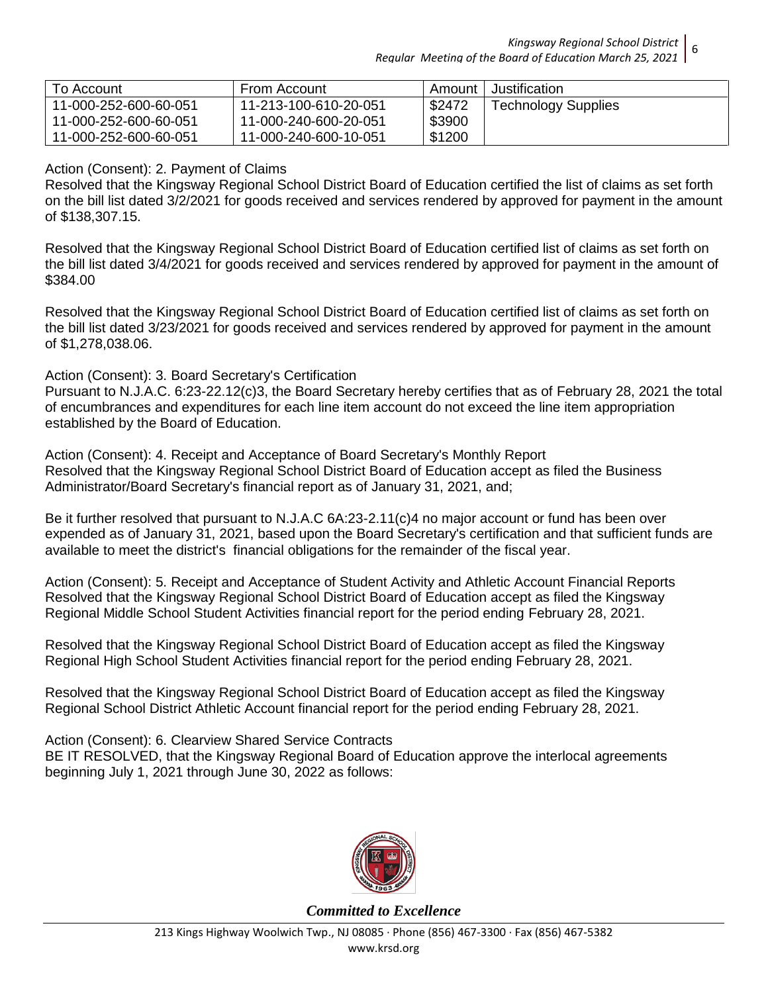*Kingsway Regional School District Regular Meeting of the Board of Education March 25, 2021* 6

| To Account            | From Account          | Amount | Justification              |
|-----------------------|-----------------------|--------|----------------------------|
| 11-000-252-600-60-051 | 11-213-100-610-20-051 | \$2472 | <b>Technology Supplies</b> |
| 11-000-252-600-60-051 | 11-000-240-600-20-051 | \$3900 |                            |
| 11-000-252-600-60-051 | 11-000-240-600-10-051 | \$1200 |                            |

## Action (Consent): 2. Payment of Claims

Resolved that the Kingsway Regional School District Board of Education certified the list of claims as set forth on the bill list dated 3/2/2021 for goods received and services rendered by approved for payment in the amount of \$138,307.15.

Resolved that the Kingsway Regional School District Board of Education certified list of claims as set forth on the bill list dated 3/4/2021 for goods received and services rendered by approved for payment in the amount of \$384.00

Resolved that the Kingsway Regional School District Board of Education certified list of claims as set forth on the bill list dated 3/23/2021 for goods received and services rendered by approved for payment in the amount of \$1,278,038.06.

## Action (Consent): 3. Board Secretary's Certification

Pursuant to N.J.A.C. 6:23-22.12(c)3, the Board Secretary hereby certifies that as of February 28, 2021 the total of encumbrances and expenditures for each line item account do not exceed the line item appropriation established by the Board of Education.

Action (Consent): 4. Receipt and Acceptance of Board Secretary's Monthly Report Resolved that the Kingsway Regional School District Board of Education accept as filed the Business Administrator/Board Secretary's financial report as of January 31, 2021, and;

Be it further resolved that pursuant to N.J.A.C 6A:23-2.11(c)4 no major account or fund has been over expended as of January 31, 2021, based upon the Board Secretary's certification and that sufficient funds are available to meet the district's financial obligations for the remainder of the fiscal year.

Action (Consent): 5. Receipt and Acceptance of Student Activity and Athletic Account Financial Reports Resolved that the Kingsway Regional School District Board of Education accept as filed the Kingsway Regional Middle School Student Activities financial report for the period ending February 28, 2021.

Resolved that the Kingsway Regional School District Board of Education accept as filed the Kingsway Regional High School Student Activities financial report for the period ending February 28, 2021.

Resolved that the Kingsway Regional School District Board of Education accept as filed the Kingsway Regional School District Athletic Account financial report for the period ending February 28, 2021.

Action (Consent): 6. Clearview Shared Service Contracts BE IT RESOLVED, that the Kingsway Regional Board of Education approve the interlocal agreements beginning July 1, 2021 through June 30, 2022 as follows:

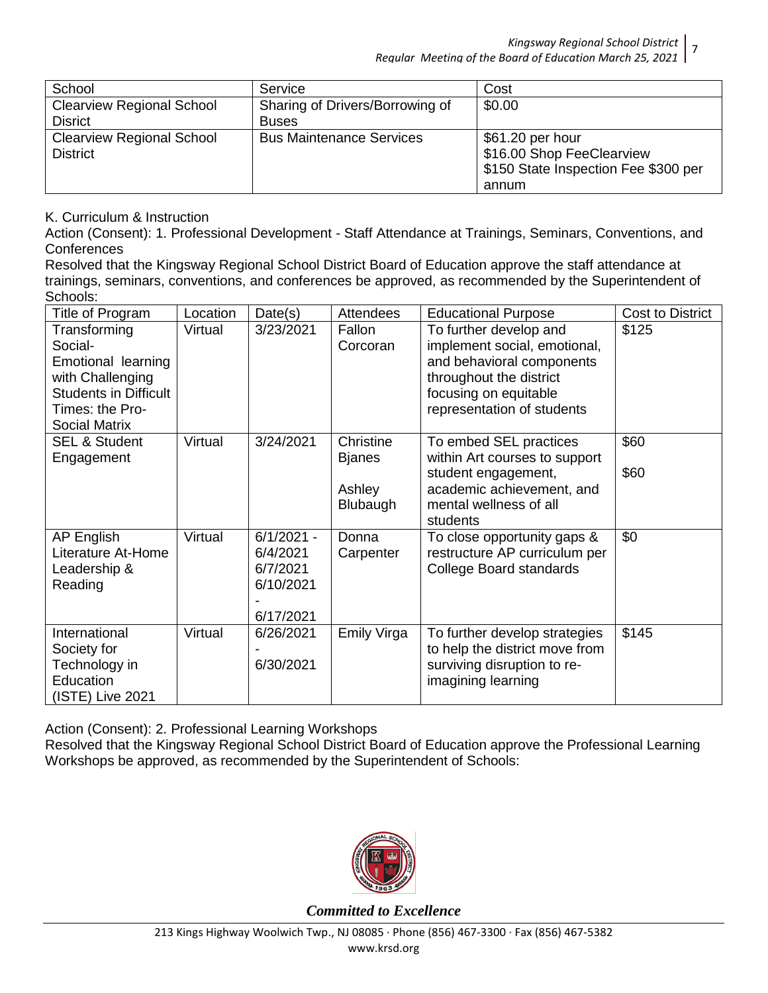*Kingsway Regional School District* 7 *Regular Meeting of the Board of Education March 25, 2021*

| School                           | Service                         | Cost                                 |
|----------------------------------|---------------------------------|--------------------------------------|
| <b>Clearview Regional School</b> | Sharing of Drivers/Borrowing of | \$0.00                               |
| <b>Disrict</b>                   | <b>Buses</b>                    |                                      |
| <b>Clearview Regional School</b> | <b>Bus Maintenance Services</b> | \$61.20 per hour                     |
| <b>District</b>                  |                                 | \$16.00 Shop FeeClearview            |
|                                  |                                 | \$150 State Inspection Fee \$300 per |
|                                  |                                 | annum                                |

## K. Curriculum & Instruction

Action (Consent): 1. Professional Development - Staff Attendance at Trainings, Seminars, Conventions, and **Conferences** 

Resolved that the Kingsway Regional School District Board of Education approve the staff attendance at trainings, seminars, conventions, and conferences be approved, as recommended by the Superintendent of Schools:

| Title of Program                                                                                                                             | Location | Date(s)                                                        | <b>Attendees</b>                                 | <b>Educational Purpose</b>                                                                                                                                            | <b>Cost to District</b> |
|----------------------------------------------------------------------------------------------------------------------------------------------|----------|----------------------------------------------------------------|--------------------------------------------------|-----------------------------------------------------------------------------------------------------------------------------------------------------------------------|-------------------------|
| Transforming<br>Social-<br>Emotional learning<br>with Challenging<br><b>Students in Difficult</b><br>Times: the Pro-<br><b>Social Matrix</b> | Virtual  | 3/23/2021                                                      | Fallon<br>Corcoran                               | To further develop and<br>implement social, emotional,<br>and behavioral components<br>throughout the district<br>focusing on equitable<br>representation of students | \$125                   |
| <b>SEL &amp; Student</b><br>Engagement                                                                                                       | Virtual  | 3/24/2021                                                      | Christine<br><b>Bjanes</b><br>Ashley<br>Blubaugh | To embed SEL practices<br>within Art courses to support<br>student engagement,<br>academic achievement, and<br>mental wellness of all<br>students                     | \$60<br>\$60            |
| AP English<br>Literature At-Home<br>Leadership &<br>Reading                                                                                  | Virtual  | $6/1/2021 -$<br>6/4/2021<br>6/7/2021<br>6/10/2021<br>6/17/2021 | Donna<br>Carpenter                               | To close opportunity gaps &<br>restructure AP curriculum per<br>College Board standards                                                                               | \$0                     |
| International<br>Society for<br>Technology in<br>Education<br>(ISTE) Live 2021                                                               | Virtual  | 6/26/2021<br>6/30/2021                                         | Emily Virga                                      | To further develop strategies<br>to help the district move from<br>surviving disruption to re-<br>imagining learning                                                  | \$145                   |

Action (Consent): 2. Professional Learning Workshops

Resolved that the Kingsway Regional School District Board of Education approve the Professional Learning Workshops be approved, as recommended by the Superintendent of Schools:

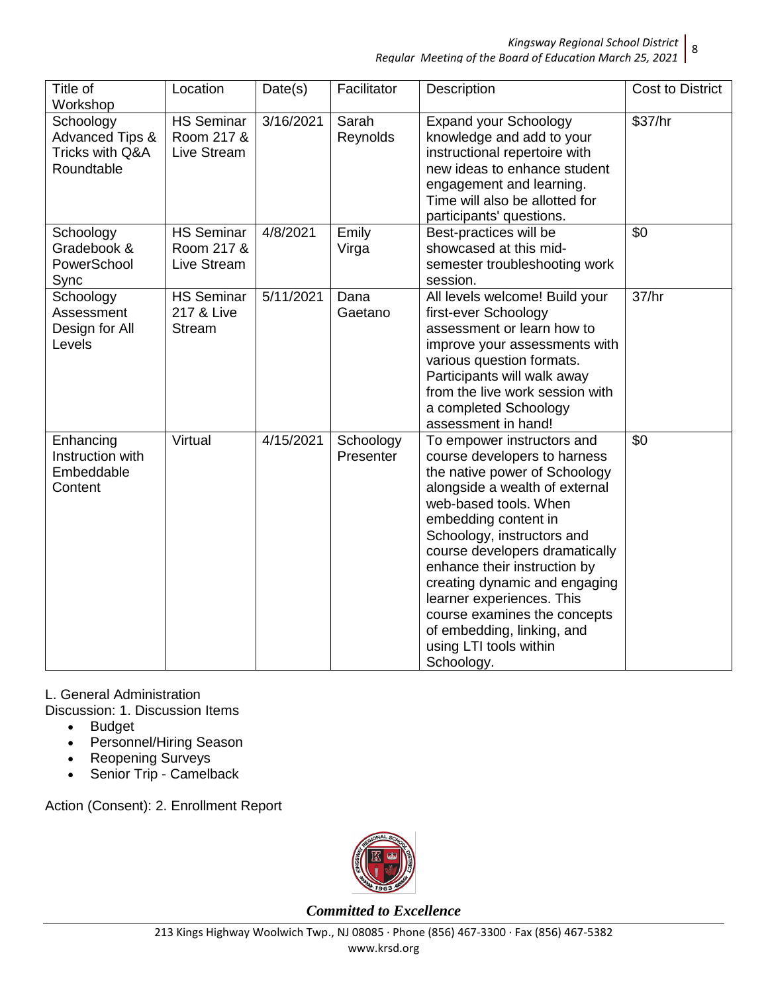#### *Kingsway Regional School District* 8 *Regular Meeting of the Board of Education March 25, 2021*

| Title of<br>Workshop                                                     | Location                                         | Date(s)   | Facilitator            | Description                                                                                                                                                                                                                                                                                                                                                                                                                                        | <b>Cost to District</b> |
|--------------------------------------------------------------------------|--------------------------------------------------|-----------|------------------------|----------------------------------------------------------------------------------------------------------------------------------------------------------------------------------------------------------------------------------------------------------------------------------------------------------------------------------------------------------------------------------------------------------------------------------------------------|-------------------------|
| Schoology<br><b>Advanced Tips &amp;</b><br>Tricks with Q&A<br>Roundtable | <b>HS Seminar</b><br>Room 217 &<br>Live Stream   | 3/16/2021 | Sarah<br>Reynolds      | <b>Expand your Schoology</b><br>knowledge and add to your<br>instructional repertoire with<br>new ideas to enhance student<br>engagement and learning.<br>Time will also be allotted for<br>participants' questions.                                                                                                                                                                                                                               | \$37/hr                 |
| Schoology<br>Gradebook &<br>PowerSchool<br>Sync                          | <b>HS Seminar</b><br>Room 217 &<br>Live Stream   | 4/8/2021  | Emily<br>Virga         | Best-practices will be<br>showcased at this mid-<br>semester troubleshooting work<br>session.                                                                                                                                                                                                                                                                                                                                                      | \$0                     |
| Schoology<br>Assessment<br>Design for All<br>Levels                      | <b>HS</b> Seminar<br>217 & Live<br><b>Stream</b> | 5/11/2021 | Dana<br>Gaetano        | All levels welcome! Build your<br>first-ever Schoology<br>assessment or learn how to<br>improve your assessments with<br>various question formats.<br>Participants will walk away<br>from the live work session with<br>a completed Schoology<br>assessment in hand!                                                                                                                                                                               | 37/hr                   |
| Enhancing<br>Instruction with<br>Embeddable<br>Content                   | Virtual                                          | 4/15/2021 | Schoology<br>Presenter | To empower instructors and<br>course developers to harness<br>the native power of Schoology<br>alongside a wealth of external<br>web-based tools. When<br>embedding content in<br>Schoology, instructors and<br>course developers dramatically<br>enhance their instruction by<br>creating dynamic and engaging<br>learner experiences. This<br>course examines the concepts<br>of embedding, linking, and<br>using LTI tools within<br>Schoology. | $\overline{50}$         |

L. General Administration

Discussion: 1. Discussion Items

- Budget
- Personnel/Hiring Season
- Reopening Surveys
- Senior Trip Camelback

Action (Consent): 2. Enrollment Report

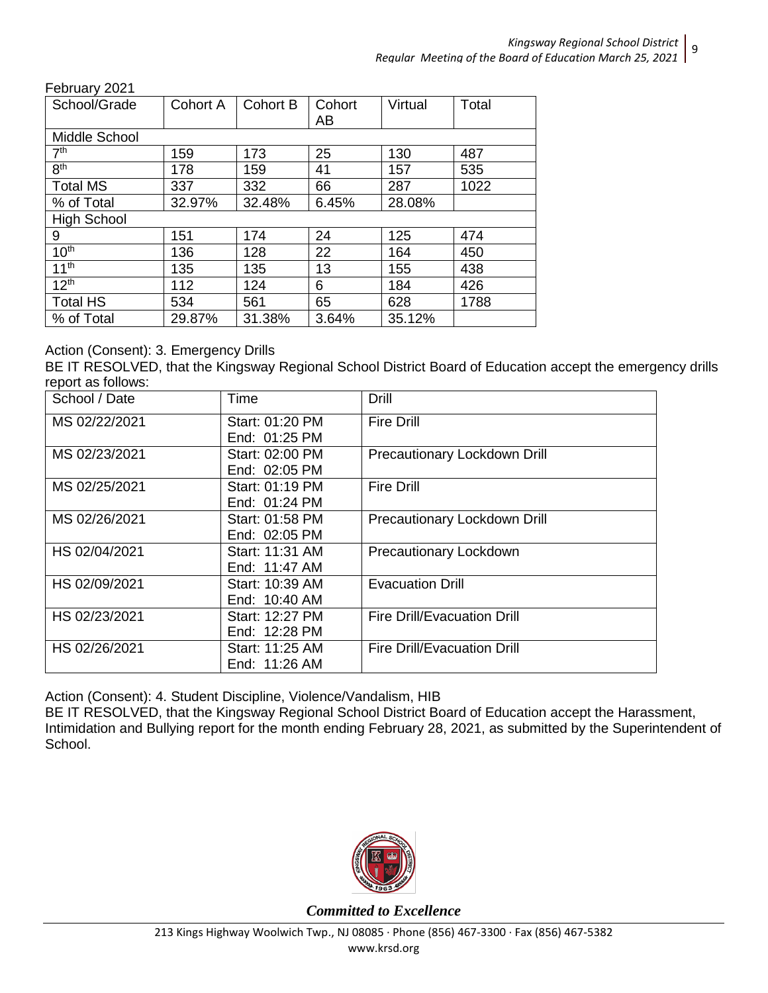February 2021

| , vw; uu; y LvL ;  |          |          |        |         |       |
|--------------------|----------|----------|--------|---------|-------|
| School/Grade       | Cohort A | Cohort B | Cohort | Virtual | Total |
|                    |          |          | AB     |         |       |
| Middle School      |          |          |        |         |       |
| 7 <sup>th</sup>    | 159      | 173      | 25     | 130     | 487   |
| 8 <sup>th</sup>    | 178      | 159      | 41     | 157     | 535   |
| <b>Total MS</b>    | 337      | 332      | 66     | 287     | 1022  |
| % of Total         | 32.97%   | 32.48%   | 6.45%  | 28.08%  |       |
| <b>High School</b> |          |          |        |         |       |
| 9                  | 151      | 174      | 24     | 125     | 474   |
| 10 <sup>th</sup>   | 136      | 128      | 22     | 164     | 450   |
| 11 <sup>th</sup>   | 135      | 135      | 13     | 155     | 438   |
| 12 <sup>th</sup>   | 112      | 124      | 6      | 184     | 426   |
| <b>Total HS</b>    | 534      | 561      | 65     | 628     | 1788  |
| % of Total         | 29.87%   | 31.38%   | 3.64%  | 35.12%  |       |

## Action (Consent): 3. Emergency Drills

BE IT RESOLVED, that the Kingsway Regional School District Board of Education accept the emergency drills report as follows:

| School / Date | Time            | Drill                               |
|---------------|-----------------|-------------------------------------|
| MS 02/22/2021 | Start: 01:20 PM | <b>Fire Drill</b>                   |
|               | End: 01:25 PM   |                                     |
| MS 02/23/2021 | Start: 02:00 PM | <b>Precautionary Lockdown Drill</b> |
|               | End: 02:05 PM   |                                     |
| MS 02/25/2021 | Start: 01:19 PM | <b>Fire Drill</b>                   |
|               | End: 01:24 PM   |                                     |
| MS 02/26/2021 | Start: 01:58 PM | Precautionary Lockdown Drill        |
|               | End: 02:05 PM   |                                     |
| HS 02/04/2021 | Start: 11:31 AM | Precautionary Lockdown              |
|               | End: 11:47 AM   |                                     |
| HS 02/09/2021 | Start: 10:39 AM | <b>Evacuation Drill</b>             |
|               | End: 10:40 AM   |                                     |
| HS 02/23/2021 | Start: 12:27 PM | <b>Fire Drill/Evacuation Drill</b>  |
|               | End: 12:28 PM   |                                     |
| HS 02/26/2021 | Start: 11:25 AM | <b>Fire Drill/Evacuation Drill</b>  |
|               | End: 11:26 AM   |                                     |

Action (Consent): 4. Student Discipline, Violence/Vandalism, HIB

BE IT RESOLVED, that the Kingsway Regional School District Board of Education accept the Harassment, Intimidation and Bullying report for the month ending February 28, 2021, as submitted by the Superintendent of School.

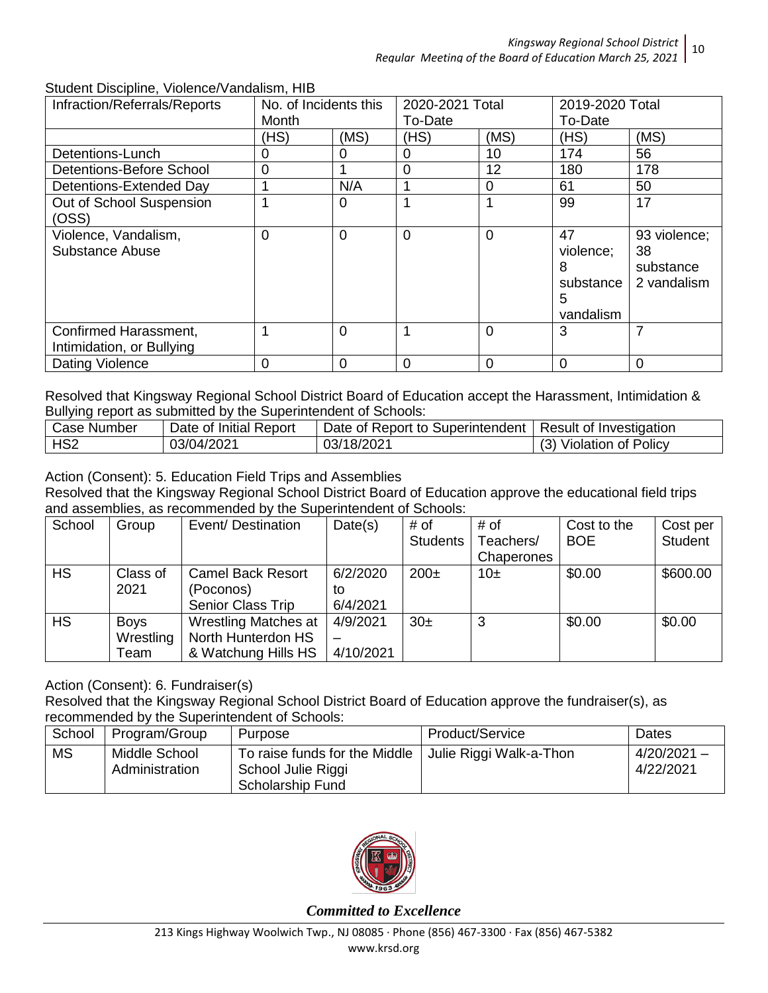| oluuttiil Discipiirit, violerice/variualism, riib<br>Infraction/Referrals/Reports | No. of Incidents this |      | 2020-2021 Total |          | 2019-2020 Total |              |
|-----------------------------------------------------------------------------------|-----------------------|------|-----------------|----------|-----------------|--------------|
|                                                                                   | Month                 |      | To-Date         |          | To-Date         |              |
|                                                                                   | (HS)                  | (MS) | (HS)            | (MS)     | (HS)            | (MS)         |
| Detentions-Lunch                                                                  | Ω                     | 0    | 0               | 10       | 174             | 56           |
| Detentions-Before School                                                          | 0                     |      | 0               | 12       | 180             | 178          |
| Detentions-Extended Day                                                           |                       | N/A  |                 | $\Omega$ | 61              | 50           |
| Out of School Suspension                                                          |                       | 0    |                 |          | 99              | 17           |
| (OSS)                                                                             |                       |      |                 |          |                 |              |
| Violence, Vandalism,                                                              | 0                     | 0    | $\overline{0}$  | $\Omega$ | 47              | 93 violence; |
| Substance Abuse                                                                   |                       |      |                 |          | violence;       | 38           |
|                                                                                   |                       |      |                 |          | 8               | substance    |
|                                                                                   |                       |      |                 |          | substance       | 2 vandalism  |
|                                                                                   |                       |      |                 |          | 5               |              |
|                                                                                   |                       |      |                 |          | vandalism       |              |
| Confirmed Harassment,                                                             |                       | 0    |                 | $\Omega$ | 3               | 7            |
| Intimidation, or Bullying                                                         |                       |      |                 |          |                 |              |
| Dating Violence                                                                   | 0                     | 0    | 0               | $\Omega$ | 0               | $\Omega$     |

## Student Discipline, Violence/Vandalism, HIB

Resolved that Kingsway Regional School District Board of Education accept the Harassment, Intimidation & Bullying report as submitted by the Superintendent of Schools:

| Case Number     | Date of Initial Report | Date of Report to Superintendent   Result of Investigation |                            |
|-----------------|------------------------|------------------------------------------------------------|----------------------------|
| HS <sub>2</sub> | 03/04/2021             | 03/18/2021                                                 | <b>Violation of Policy</b> |

## Action (Consent): 5. Education Field Trips and Assemblies

Resolved that the Kingsway Regional School District Board of Education approve the educational field trips and assemblies, as recommended by the Superintendent of Schools:

| School    | Group       | Event/Destination           | Date(s)   | # of            | # of       | Cost to the | Cost per       |
|-----------|-------------|-----------------------------|-----------|-----------------|------------|-------------|----------------|
|           |             |                             |           | <b>Students</b> | Teachers/  | <b>BOE</b>  | <b>Student</b> |
|           |             |                             |           |                 | Chaperones |             |                |
| <b>HS</b> | Class of    | <b>Camel Back Resort</b>    | 6/2/2020  | $200\pm$        | 10 $\pm$   | \$0.00      | \$600.00       |
|           | 2021        | (Poconos)                   | to        |                 |            |             |                |
|           |             | Senior Class Trip           | 6/4/2021  |                 |            |             |                |
| <b>HS</b> | <b>Boys</b> | <b>Wrestling Matches at</b> | 4/9/2021  | 30 <sub>±</sub> | 3          | \$0.00      | \$0.00         |
|           | Wrestling   | North Hunterdon HS          |           |                 |            |             |                |
|           | Геаm        | & Watchung Hills HS         | 4/10/2021 |                 |            |             |                |

## Action (Consent): 6. Fundraiser(s)

Resolved that the Kingsway Regional School District Board of Education approve the fundraiser(s), as recommended by the Superintendent of Schools:

| School    | Program/Group                   | Purpose                                                                 | Product/Service         | Dates                      |
|-----------|---------------------------------|-------------------------------------------------------------------------|-------------------------|----------------------------|
| <b>MS</b> | Middle School<br>Administration | To raise funds for the Middle<br>School Julie Riggi<br>Scholarship Fund | Julie Riggi Walk-a-Thon | $4/20/2021 -$<br>4/22/2021 |

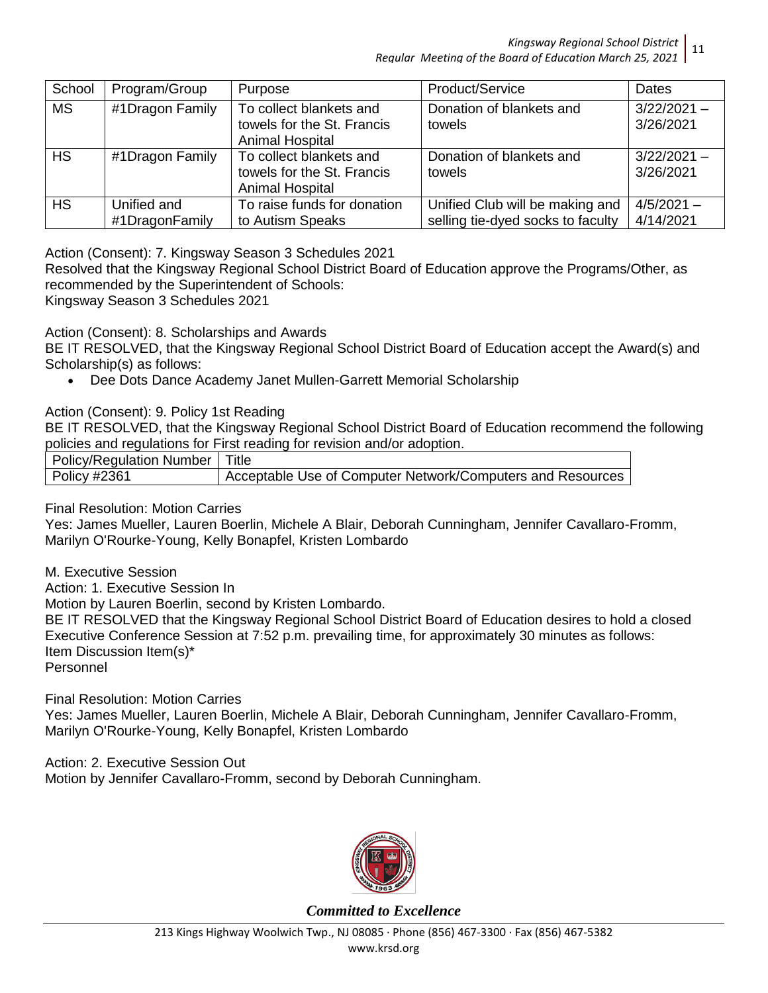*Kingsway Regional School District Regular Meeting of the Board of Education March 25, 2021* 11

| School    | Program/Group                 | Purpose                                                                         | Product/Service                                                      | <b>Dates</b>               |
|-----------|-------------------------------|---------------------------------------------------------------------------------|----------------------------------------------------------------------|----------------------------|
| <b>MS</b> | #1Dragon Family               | To collect blankets and<br>towels for the St. Francis<br><b>Animal Hospital</b> | Donation of blankets and<br>towels                                   | $3/22/2021 -$<br>3/26/2021 |
| <b>HS</b> | #1Dragon Family               | To collect blankets and<br>towels for the St. Francis<br>Animal Hospital        | Donation of blankets and<br>towels                                   | $3/22/2021 -$<br>3/26/2021 |
| <b>HS</b> | Unified and<br>#1DragonFamily | To raise funds for donation<br>to Autism Speaks                                 | Unified Club will be making and<br>selling tie-dyed socks to faculty | $4/5/2021 -$<br>4/14/2021  |

Action (Consent): 7. Kingsway Season 3 Schedules 2021

Resolved that the Kingsway Regional School District Board of Education approve the Programs/Other, as recommended by the Superintendent of Schools:

Kingsway Season 3 Schedules 2021

Action (Consent): 8. Scholarships and Awards

BE IT RESOLVED, that the Kingsway Regional School District Board of Education accept the Award(s) and Scholarship(s) as follows:

Dee Dots Dance Academy Janet Mullen-Garrett Memorial Scholarship

Action (Consent): 9. Policy 1st Reading

BE IT RESOLVED, that the Kingsway Regional School District Board of Education recommend the following policies and regulations for First reading for revision and/or adoption.

| Policy/Regulation Number | Title                                                      |
|--------------------------|------------------------------------------------------------|
| $\vert$ Policy #2361     | Acceptable Use of Computer Network/Computers and Resources |

Final Resolution: Motion Carries

Yes: James Mueller, Lauren Boerlin, Michele A Blair, Deborah Cunningham, Jennifer Cavallaro-Fromm, Marilyn O'Rourke-Young, Kelly Bonapfel, Kristen Lombardo

M. Executive Session

Action: 1. Executive Session In

Motion by Lauren Boerlin, second by Kristen Lombardo.

BE IT RESOLVED that the Kingsway Regional School District Board of Education desires to hold a closed Executive Conference Session at 7:52 p.m. prevailing time, for approximately 30 minutes as follows: Item Discussion Item(s)\*

Personnel

Final Resolution: Motion Carries Yes: James Mueller, Lauren Boerlin, Michele A Blair, Deborah Cunningham, Jennifer Cavallaro-Fromm, Marilyn O'Rourke-Young, Kelly Bonapfel, Kristen Lombardo

Action: 2. Executive Session Out Motion by Jennifer Cavallaro-Fromm, second by Deborah Cunningham.